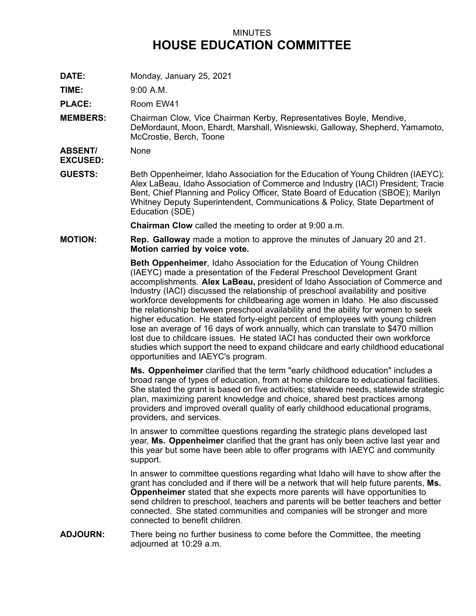## MINUTES **HOUSE EDUCATION COMMITTEE**

**DATE:** Monday, January 25, 2021

**TIME:** 9:00 A.M.

**PLACE:** Room EW41

**MEMBERS:** Chairman Clow, Vice Chairman Kerby, Representatives Boyle, Mendive, DeMordaunt, Moon, Ehardt, Marshall, Wisniewski, Galloway, Shepherd, Yamamoto, McCrostie, Berch, Toone

**ABSENT/ EXCUSED:** None

**GUESTS:** Beth Oppenheimer, Idaho Association for the Education of Young Children (IAEYC); Alex LaBeau, Idaho Association of Commerce and Industry (IACI) President; Tracie Bent, Chief Planning and Policy Officer, State Board of Education (SBOE); Marilyn Whitney Deputy Superintendent, Communications & Policy, State Department of Education (SDE)

**Chairman Clow** called the meeting to order at 9:00 a.m.

**MOTION: Rep. Galloway** made <sup>a</sup> motion to approve the minutes of January 20 and 21. **Motion carried by voice vote.**

> **Beth Oppenheimer**, Idaho Association for the Education of Young Children (IAEYC) made <sup>a</sup> presentation of the Federal Preschool Development Grant accomplishments. **Alex LaBeau,** president of Idaho Association of Commerce and Industry (IACI) discussed the relationship of preschool availability and positive workforce developments for childbearing age women in Idaho. He also discussed the relationship between preschool availability and the ability for women to seek higher education. He stated forty-eight percent of employees with young children lose an average of 16 days of work annually, which can translate to \$470 million lost due to childcare issues. He stated IACI has conducted their own workforce studies which support the need to expand childcare and early childhood educational opportunities and IAEYC's program.

> **Ms. Oppenheimer** clarified that the term "early childhood education" includes <sup>a</sup> broad range of types of education, from at home childcare to educational facilities. She stated the grant is based on five activities; statewide needs, statewide strategic plan, maximizing parent knowledge and choice, shared best practices among providers and improved overall quality of early childhood educational programs, providers, and services.

In answer to committee questions regarding the strategic plans developed last year, **Ms. Oppenheimer** clarified that the grant has only been active last year and this year but some have been able to offer programs with IAEYC and community support.

In answer to committee questions regarding what Idaho will have to show after the grant has concluded and if there will be <sup>a</sup> network that will help future parents, **Ms. Oppenheimer** stated that she expects more parents will have opportunities to send children to preschool, teachers and parents will be better teachers and better connected. She stated communities and companies will be stronger and more connected to benefit children.

**ADJOURN:** There being no further business to come before the Committee, the meeting adjourned at 10:29 a.m.